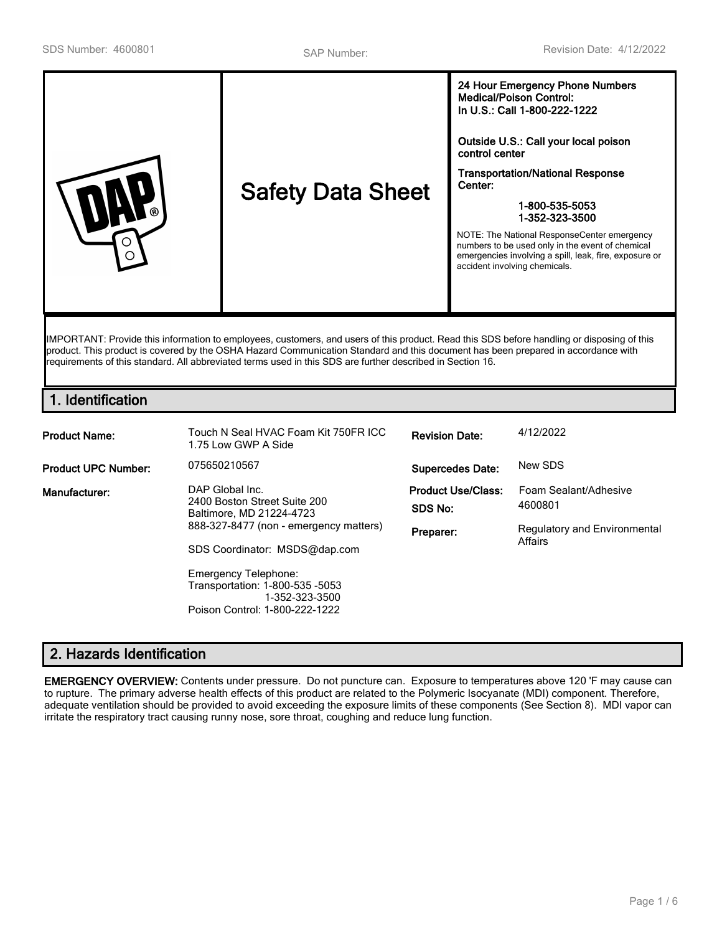| <b>Safety Data Sheet</b><br>ര<br>∩ | In U.S.: Call 1-800-222-1222<br>Outside U.S.: Call your local poison<br>control center<br><b>Transportation/National Response</b><br>Center:<br>1-800-535-5053<br>1-352-323-3500<br>NOTE: The National ResponseCenter emergency<br>numbers to be used only in the event of chemical<br>emergencies involving a spill, leak, fire, exposure or<br>accident involving chemicals. |
|------------------------------------|--------------------------------------------------------------------------------------------------------------------------------------------------------------------------------------------------------------------------------------------------------------------------------------------------------------------------------------------------------------------------------|
|------------------------------------|--------------------------------------------------------------------------------------------------------------------------------------------------------------------------------------------------------------------------------------------------------------------------------------------------------------------------------------------------------------------------------|

IMPORTANT: Provide this information to employees, customers, and users of this product. Read this SDS before handling or disposing of this product. This product is covered by the OSHA Hazard Communication Standard and this document has been prepared in accordance with requirements of this standard. All abbreviated terms used in this SDS are further described in Section 16.

# **1. Identification**

| <b>Product Name:</b>       | Touch N Seal HVAC Foam Kit 750FR ICC<br>1.75 Low GWP A Side                                                                                                                                                                                                                  | <b>Revision Date:</b>                             | 4/12/2022                                                                   |
|----------------------------|------------------------------------------------------------------------------------------------------------------------------------------------------------------------------------------------------------------------------------------------------------------------------|---------------------------------------------------|-----------------------------------------------------------------------------|
| <b>Product UPC Number:</b> | 075650210567                                                                                                                                                                                                                                                                 | <b>Supercedes Date:</b>                           | New SDS                                                                     |
| Manufacturer:              | DAP Global Inc.<br>2400 Boston Street Suite 200<br>Baltimore, MD 21224-4723<br>888-327-8477 (non - emergency matters)<br>SDS Coordinator: MSDS@dap.com<br><b>Emergency Telephone:</b><br>Transportation: 1-800-535 -5053<br>1-352-323-3500<br>Poison Control: 1-800-222-1222 | <b>Product Use/Class:</b><br>SDS No:<br>Preparer: | Foam Sealant/Adhesive<br>4600801<br>Regulatory and Environmental<br>Affairs |

# **2. Hazards Identification**

**EMERGENCY OVERVIEW:** Contents under pressure. Do not puncture can. Exposure to temperatures above 120 'F may cause can to rupture. The primary adverse health effects of this product are related to the Polymeric Isocyanate (MDI) component. Therefore, adequate ventilation should be provided to avoid exceeding the exposure limits of these components (See Section 8). MDI vapor can irritate the respiratory tract causing runny nose, sore throat, coughing and reduce lung function.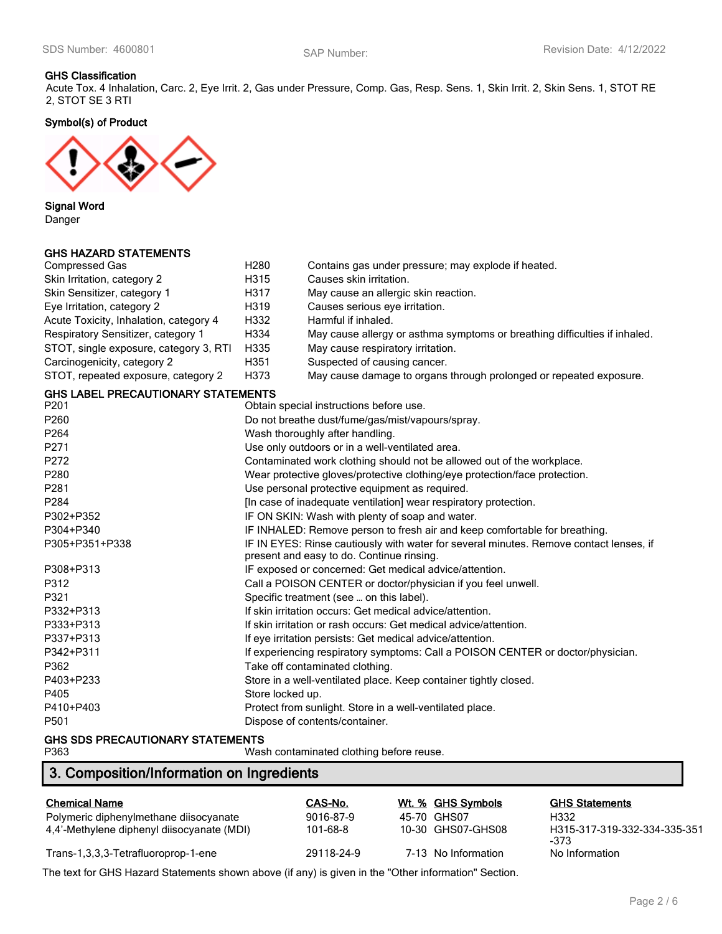### **GHS Classification**

Acute Tox. 4 Inhalation, Carc. 2, Eye Irrit. 2, Gas under Pressure, Comp. Gas, Resp. Sens. 1, Skin Irrit. 2, Skin Sens. 1, STOT RE 2, STOT SE 3 RTI

**Symbol(s) of Product**



**Signal Word**

Danger

## **GHS HAZARD STATEMENTS**

| <b>Compressed Gas</b>                     | H <sub>280</sub>                                                 | Contains gas under pressure; may explode if heated.                                    |  |
|-------------------------------------------|------------------------------------------------------------------|----------------------------------------------------------------------------------------|--|
| Skin Irritation, category 2               | H315                                                             | Causes skin irritation.                                                                |  |
| Skin Sensitizer, category 1               | H317                                                             | May cause an allergic skin reaction.                                                   |  |
| Eye Irritation, category 2                | H319                                                             | Causes serious eye irritation.                                                         |  |
| Acute Toxicity, Inhalation, category 4    | H332                                                             | Harmful if inhaled.                                                                    |  |
| Respiratory Sensitizer, category 1        | H334                                                             | May cause allergy or asthma symptoms or breathing difficulties if inhaled.             |  |
| STOT, single exposure, category 3, RTI    | H335                                                             | May cause respiratory irritation.                                                      |  |
| Carcinogenicity, category 2               | H351                                                             | Suspected of causing cancer.                                                           |  |
| STOT, repeated exposure, category 2       | H373                                                             | May cause damage to organs through prolonged or repeated exposure.                     |  |
| <b>GHS LABEL PRECAUTIONARY STATEMENTS</b> |                                                                  |                                                                                        |  |
| P201                                      |                                                                  | Obtain special instructions before use.                                                |  |
| P260                                      |                                                                  | Do not breathe dust/fume/gas/mist/vapours/spray.                                       |  |
| P264                                      |                                                                  | Wash thoroughly after handling.                                                        |  |
| P271                                      |                                                                  | Use only outdoors or in a well-ventilated area.                                        |  |
| P272                                      |                                                                  | Contaminated work clothing should not be allowed out of the workplace.                 |  |
| P280                                      |                                                                  | Wear protective gloves/protective clothing/eye protection/face protection.             |  |
| P281                                      | Use personal protective equipment as required.                   |                                                                                        |  |
| P284                                      | [In case of inadequate ventilation] wear respiratory protection. |                                                                                        |  |
| P302+P352                                 | IF ON SKIN: Wash with plenty of soap and water.                  |                                                                                        |  |
| P304+P340                                 |                                                                  | IF INHALED: Remove person to fresh air and keep comfortable for breathing.             |  |
| P305+P351+P338                            |                                                                  | IF IN EYES: Rinse cautiously with water for several minutes. Remove contact lenses, if |  |
|                                           |                                                                  | present and easy to do. Continue rinsing.                                              |  |
| P308+P313                                 |                                                                  | IF exposed or concerned: Get medical advice/attention.                                 |  |
| P312                                      |                                                                  | Call a POISON CENTER or doctor/physician if you feel unwell.                           |  |
| P321                                      |                                                                  | Specific treatment (see  on this label).                                               |  |
| P332+P313                                 |                                                                  | If skin irritation occurs: Get medical advice/attention.                               |  |
| P333+P313                                 |                                                                  | If skin irritation or rash occurs: Get medical advice/attention.                       |  |
| P337+P313                                 |                                                                  | If eye irritation persists: Get medical advice/attention.                              |  |
| P342+P311                                 |                                                                  | If experiencing respiratory symptoms: Call a POISON CENTER or doctor/physician.        |  |
| P362                                      |                                                                  | Take off contaminated clothing.                                                        |  |
| P403+P233                                 |                                                                  | Store in a well-ventilated place. Keep container tightly closed.                       |  |
| P405                                      | Store locked up.                                                 |                                                                                        |  |
| P410+P403                                 |                                                                  | Protect from sunlight. Store in a well-ventilated place.                               |  |
| P501                                      |                                                                  | Dispose of contents/container.                                                         |  |
|                                           |                                                                  |                                                                                        |  |

**GHS SDS PRECAUTIONARY STATEMENTS**

Wash contaminated clothing before reuse.

# **3. Composition/Information on Ingredients**

| <b>Chemical Name</b>                       | CAS-No.    | Wt. % GHS Symbols   | <b>GHS Statements</b>                  |
|--------------------------------------------|------------|---------------------|----------------------------------------|
| Polymeric diphenylmethane diisocyanate     | 9016-87-9  | 45-70 GHS07         | H332                                   |
| 4,4'-Methylene diphenyl diisocyanate (MDI) | 101-68-8   | 10-30 GHS07-GHS08   | H315-317-319-332-334-335-351<br>$-373$ |
| Trans-1,3,3,3-Tetrafluoroprop-1-ene        | 29118-24-9 | 7-13 No Information | No Information                         |

The text for GHS Hazard Statements shown above (if any) is given in the "Other information" Section.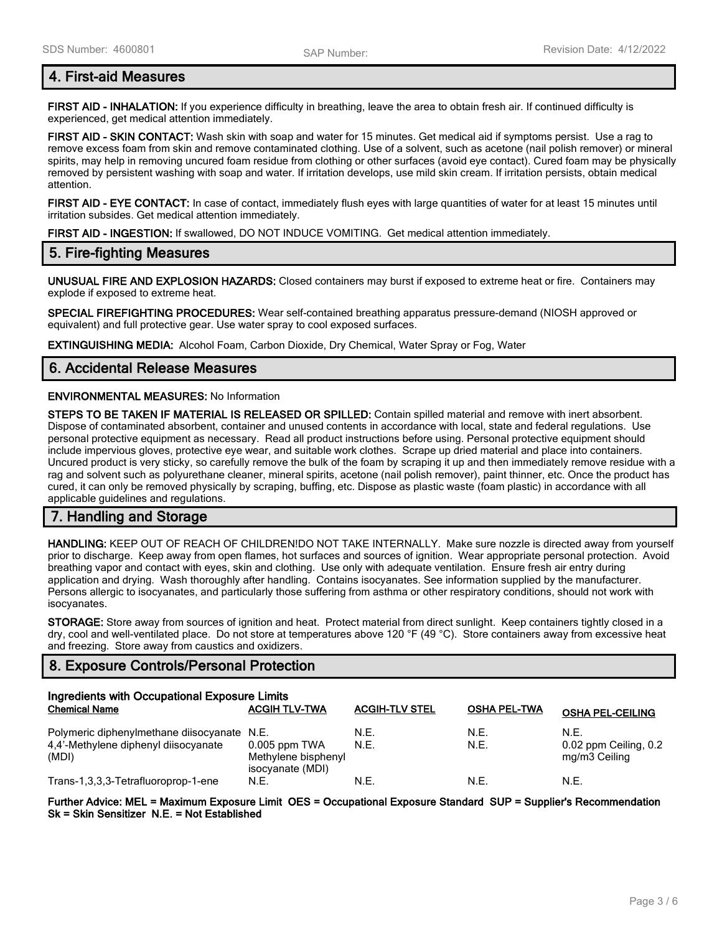## **4. First-aid Measures**

**FIRST AID - INHALATION:** If you experience difficulty in breathing, leave the area to obtain fresh air. If continued difficulty is experienced, get medical attention immediately.

**FIRST AID - SKIN CONTACT:** Wash skin with soap and water for 15 minutes. Get medical aid if symptoms persist. Use a rag to remove excess foam from skin and remove contaminated clothing. Use of a solvent, such as acetone (nail polish remover) or mineral spirits, may help in removing uncured foam residue from clothing or other surfaces (avoid eye contact). Cured foam may be physically removed by persistent washing with soap and water. If irritation develops, use mild skin cream. If irritation persists, obtain medical attention.

**FIRST AID - EYE CONTACT:** In case of contact, immediately flush eyes with large quantities of water for at least 15 minutes until irritation subsides. Get medical attention immediately.

**FIRST AID - INGESTION:** If swallowed, DO NOT INDUCE VOMITING. Get medical attention immediately.

## **5. Fire-fighting Measures**

**UNUSUAL FIRE AND EXPLOSION HAZARDS:** Closed containers may burst if exposed to extreme heat or fire. Containers may explode if exposed to extreme heat.

**SPECIAL FIREFIGHTING PROCEDURES:** Wear self-contained breathing apparatus pressure-demand (NIOSH approved or equivalent) and full protective gear. Use water spray to cool exposed surfaces.

**EXTINGUISHING MEDIA:** Alcohol Foam, Carbon Dioxide, Dry Chemical, Water Spray or Fog, Water

## **6. Accidental Release Measures**

### **ENVIRONMENTAL MEASURES:** No Information

**STEPS TO BE TAKEN IF MATERIAL IS RELEASED OR SPILLED:** Contain spilled material and remove with inert absorbent. Dispose of contaminated absorbent, container and unused contents in accordance with local, state and federal regulations. Use personal protective equipment as necessary. Read all product instructions before using. Personal protective equipment should include impervious gloves, protective eye wear, and suitable work clothes. Scrape up dried material and place into containers. Uncured product is very sticky, so carefully remove the bulk of the foam by scraping it up and then immediately remove residue with a rag and solvent such as polyurethane cleaner, mineral spirits, acetone (nail polish remover), paint thinner, etc. Once the product has cured, it can only be removed physically by scraping, buffing, etc. Dispose as plastic waste (foam plastic) in accordance with all applicable guidelines and regulations.

## **7. Handling and Storage**

**HANDLING:** KEEP OUT OF REACH OF CHILDREN!DO NOT TAKE INTERNALLY. Make sure nozzle is directed away from yourself prior to discharge. Keep away from open flames, hot surfaces and sources of ignition. Wear appropriate personal protection. Avoid breathing vapor and contact with eyes, skin and clothing. Use only with adequate ventilation. Ensure fresh air entry during application and drying. Wash thoroughly after handling. Contains isocyanates. See information supplied by the manufacturer. Persons allergic to isocyanates, and particularly those suffering from asthma or other respiratory conditions, should not work with isocyanates.

**STORAGE:** Store away from sources of ignition and heat. Protect material from direct sunlight. Keep containers tightly closed in a dry, cool and well-ventilated place. Do not store at temperatures above 120 °F (49 °C). Store containers away from excessive heat and freezing. Store away from caustics and oxidizers.

## **8. Exposure Controls/Personal Protection**

| Ingredients with Occupational Exposure Limits                                       |                                         |                       |                     |                               |
|-------------------------------------------------------------------------------------|-----------------------------------------|-----------------------|---------------------|-------------------------------|
| <b>Chemical Name</b>                                                                | <b>ACGIH TLV-TWA</b>                    | <b>ACGIH-TLV STEL</b> | <b>OSHA PEL-TWA</b> | <b>OSHA PEL-CEILING</b>       |
| Polymeric diphenylmethane diisocyanate N.E.<br>4,4'-Methylene diphenyl diisocyanate | $0.005$ ppm TWA                         | N.E.<br>N.E.          | N.E.<br>N.E.        | N.F.<br>0.02 ppm Ceiling, 0.2 |
| (MDI)                                                                               | Methylene bisphenyl<br>isocyanate (MDI) |                       |                     | mg/m3 Ceiling                 |
| Trans-1,3,3,3-Tetrafluoroprop-1-ene                                                 | N.E.                                    | N.E.                  | N.E.                | N.E.                          |

**Further Advice: MEL = Maximum Exposure Limit OES = Occupational Exposure Standard SUP = Supplier's Recommendation Sk = Skin Sensitizer N.E. = Not Established**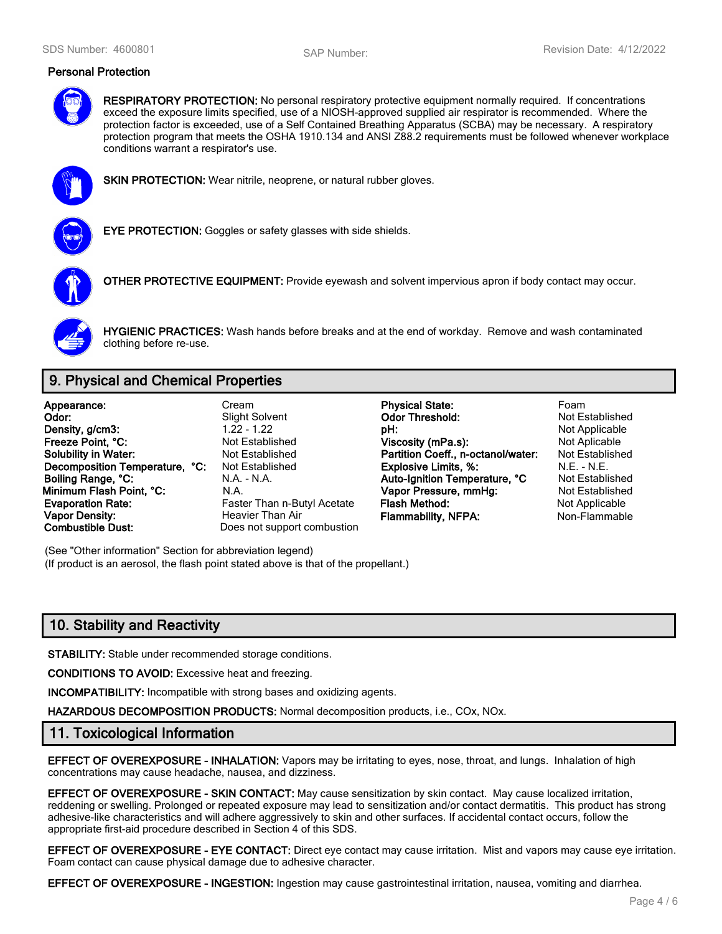#### **Personal Protection**



**RESPIRATORY PROTECTION:** No personal respiratory protective equipment normally required. If concentrations exceed the exposure limits specified, use of a NIOSH-approved supplied air respirator is recommended. Where the protection factor is exceeded, use of a Self Contained Breathing Apparatus (SCBA) may be necessary. A respiratory protection program that meets the OSHA 1910.134 and ANSI Z88.2 requirements must be followed whenever workplace conditions warrant a respirator's use.



**SKIN PROTECTION:** Wear nitrile, neoprene, or natural rubber gloves.



**EYE PROTECTION:** Goggles or safety glasses with side shields.



**OTHER PROTECTIVE EQUIPMENT:** Provide eyewash and solvent impervious apron if body contact may occur.



**HYGIENIC PRACTICES:** Wash hands before breaks and at the end of workday. Remove and wash contaminated clothing before re-use.

# **9. Physical and Chemical Properties**

**Appearance:** Cream **Physical State:** Foam **Vapor Density: Heavier Than Air Flammability, NFPA:** Non-Flammable **Combustible Dust:** Does not support combustion

Does not support combustion

**Odor:** Slight Solvent **Odor Threshold:** Not Established<br> **Density, a/cm3:** Computer of the Contract of the Contract of the Contract of the Not Applicable **Density, g/cm3:** 1.22 - 1.22 **pH: pH:** Not Applicable **Freeze Point, °C: Not Established Viscosity (mPa.s):** Not Aplicable Mot Aplicable **Solubility in Water:** Not Established **Solubility in Water:** Not Established **Solubility in Water:** Not Established **Partition Coeff., n-octanol/water: Decomposition Temperature, °C:** Not Established **Explosive Limits, %:** M.E. - N.E. - N.E. - N.E. - N.E. - N.E. - N.E. - N.E. - N.E. - N.E. - N.E. - N.E. - N.E. - N.E. - N.E. - N.A. - N.A. - N.A. - N.A. - N.A. - N.A. - Aut **Boiling Range, °C:** N.A. - N.A. **Auto-Ignition Temperature, °C** Not Established **Minimum Flash Point, °C:** N.A. **Vapor Pressure, mmHg:** Not Established **Evaporation Rate:** Faster Than n-Butyl Acetate **Flash Method:** Not Applicable **Not Applicable** 

(See "Other information" Section for abbreviation legend) (If product is an aerosol, the flash point stated above is that of the propellant.)

# **10. Stability and Reactivity**

**STABILITY:** Stable under recommended storage conditions.

**CONDITIONS TO AVOID:** Excessive heat and freezing.

**INCOMPATIBILITY:** Incompatible with strong bases and oxidizing agents.

**HAZARDOUS DECOMPOSITION PRODUCTS:** Normal decomposition products, i.e., COx, NOx.

### **11. Toxicological Information**

**EFFECT OF OVEREXPOSURE - INHALATION:** Vapors may be irritating to eyes, nose, throat, and lungs. Inhalation of high concentrations may cause headache, nausea, and dizziness.

**EFFECT OF OVEREXPOSURE - SKIN CONTACT:** May cause sensitization by skin contact. May cause localized irritation, reddening or swelling. Prolonged or repeated exposure may lead to sensitization and/or contact dermatitis. This product has strong adhesive-like characteristics and will adhere aggressively to skin and other surfaces. If accidental contact occurs, follow the appropriate first-aid procedure described in Section 4 of this SDS.

**EFFECT OF OVEREXPOSURE - EYE CONTACT:** Direct eye contact may cause irritation. Mist and vapors may cause eye irritation. Foam contact can cause physical damage due to adhesive character.

**EFFECT OF OVEREXPOSURE - INGESTION:** Ingestion may cause gastrointestinal irritation, nausea, vomiting and diarrhea.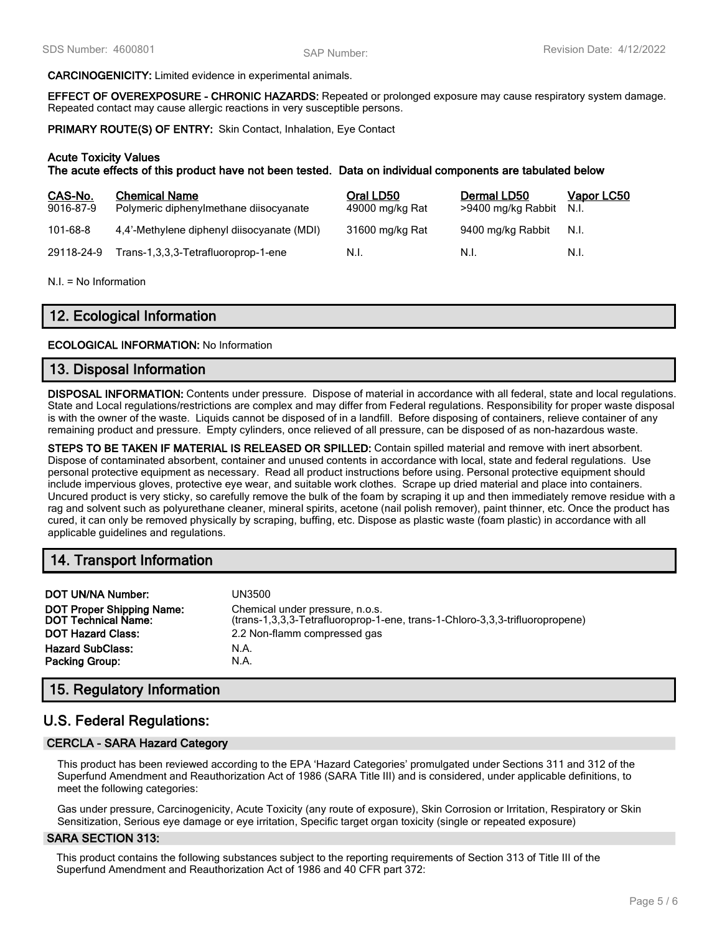#### **CARCINOGENICITY:** Limited evidence in experimental animals.

**EFFECT OF OVEREXPOSURE - CHRONIC HAZARDS:** Repeated or prolonged exposure may cause respiratory system damage. Repeated contact may cause allergic reactions in very susceptible persons.

**PRIMARY ROUTE(S) OF ENTRY:** Skin Contact, Inhalation, Eye Contact

#### **Acute Toxicity Values**

**The acute effects of this product have not been tested. Data on individual components are tabulated below**

| CAS-No.<br>9016-87-9 | <b>Chemical Name</b><br>Polymeric diphenylmethane diisocyanate | Oral LD50<br>49000 mg/kg Rat | Dermal LD50<br>>9400 mg/kg Rabbit | Vapor LC50<br>N.I. |
|----------------------|----------------------------------------------------------------|------------------------------|-----------------------------------|--------------------|
| 101-68-8             | 4.4'-Methylene diphenyl diisocyanate (MDI)                     | 31600 mg/kg Rat              | 9400 mg/kg Rabbit                 | N.I.               |
| 29118-24-9           | Trans-1,3,3,3-Tetrafluoroprop-1-ene                            | N.I.                         | N.L                               | N.I.               |

N.I. = No Information

# **12. Ecological Information**

#### **ECOLOGICAL INFORMATION:** No Information

### **13. Disposal Information**

**DISPOSAL INFORMATION:** Contents under pressure. Dispose of material in accordance with all federal, state and local regulations. State and Local regulations/restrictions are complex and may differ from Federal regulations. Responsibility for proper waste disposal is with the owner of the waste. Liquids cannot be disposed of in a landfill. Before disposing of containers, relieve container of any remaining product and pressure. Empty cylinders, once relieved of all pressure, can be disposed of as non-hazardous waste.

**STEPS TO BE TAKEN IF MATERIAL IS RELEASED OR SPILLED:** Contain spilled material and remove with inert absorbent. Dispose of contaminated absorbent, container and unused contents in accordance with local, state and federal regulations. Use personal protective equipment as necessary. Read all product instructions before using. Personal protective equipment should include impervious gloves, protective eye wear, and suitable work clothes. Scrape up dried material and place into containers. Uncured product is very sticky, so carefully remove the bulk of the foam by scraping it up and then immediately remove residue with a rag and solvent such as polyurethane cleaner, mineral spirits, acetone (nail polish remover), paint thinner, etc. Once the product has cured, it can only be removed physically by scraping, buffing, etc. Dispose as plastic waste (foam plastic) in accordance with all applicable guidelines and regulations.

## **14. Transport Information**

| <b>DOT UN/NA Number:</b>                                       | UN3500                                                                                                          |
|----------------------------------------------------------------|-----------------------------------------------------------------------------------------------------------------|
| <b>DOT Proper Shipping Name:</b><br><b>DOT Technical Name:</b> | Chemical under pressure, n.o.s.<br>(trans-1,3,3,3-Tetrafluoroprop-1-ene, trans-1-Chloro-3,3,3-trifluoropropene) |
| <b>DOT Hazard Class:</b>                                       | 2.2 Non-flamm compressed gas                                                                                    |
| <b>Hazard SubClass:</b>                                        | N.A.                                                                                                            |
| <b>Packing Group:</b>                                          | N.A.                                                                                                            |

## **15. Regulatory Information**

# **U.S. Federal Regulations:**

### **CERCLA - SARA Hazard Category**

This product has been reviewed according to the EPA 'Hazard Categories' promulgated under Sections 311 and 312 of the Superfund Amendment and Reauthorization Act of 1986 (SARA Title III) and is considered, under applicable definitions, to meet the following categories:

Gas under pressure, Carcinogenicity, Acute Toxicity (any route of exposure), Skin Corrosion or Irritation, Respiratory or Skin Sensitization, Serious eye damage or eye irritation, Specific target organ toxicity (single or repeated exposure)

### **SARA SECTION 313:**

This product contains the following substances subject to the reporting requirements of Section 313 of Title III of the Superfund Amendment and Reauthorization Act of 1986 and 40 CFR part 372: